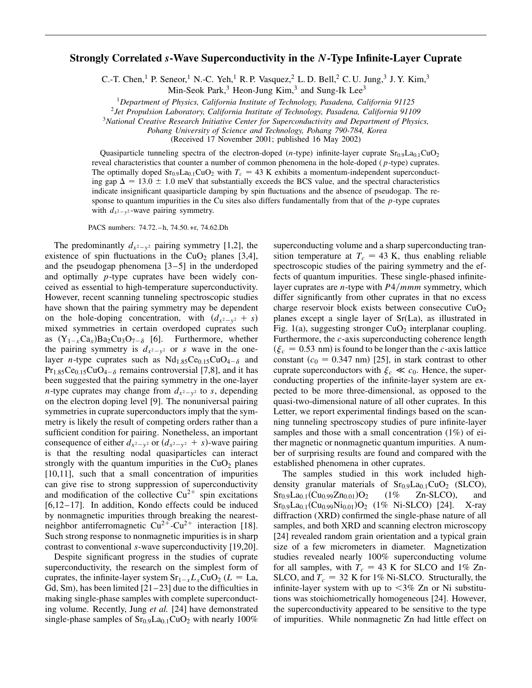## **Strongly Correlated** *s***-Wave Superconductivity in the** *N***-Type Infinite-Layer Cuprate**

C.-T. Chen,<sup>1</sup> P. Seneor,<sup>1</sup> N.-C. Yeh,<sup>1</sup> R. P. Vasquez,<sup>2</sup> L. D. Bell,<sup>2</sup> C. U. Jung,<sup>3</sup> J. Y. Kim,<sup>3</sup>

Min-Seok Park,  $3$  Heon-Jung Kim,  $3$  and Sung-Ik Lee<sup>3</sup>

<sup>1</sup>*Department of Physics, California Institute of Technology, Pasadena, California 91125*

<sup>2</sup>*Jet Propulsion Laboratory, California Institute of Technology, Pasadena, California 91109*

<sup>3</sup>*National Creative Research Initiative Center for Superconductivity and Department of Physics,*

*Pohang University of Science and Technology, Pohang 790-784, Korea*

(Received 17 November 2001; published 16 May 2002)

Quasiparticle tunneling spectra of the electron-doped (*n*-type) infinite-layer cuprate  $Sr<sub>0.9</sub>La<sub>0.1</sub>CuO<sub>2</sub>$ reveal characteristics that counter a number of common phenomena in the hole-doped (*p*-type) cuprates. The optimally doped  $Sr_{0.9}La_{0.1}CuO_2$  with  $T_c = 43$  K exhibits a momentum-independent superconducting gap  $\Delta = 13.0 \pm 1.0$  meV that substantially exceeds the BCS value, and the spectral characteristics indicate insignificant quasiparticle damping by spin fluctuations and the absence of pseudogap. The response to quantum impurities in the Cu sites also differs fundamentally from that of the *p*-type cuprates with  $d_{x^2-y^2}$ -wave pairing symmetry.

PACS numbers: 74.72.–h, 74.50.+r, 74.62.Dh

The predominantly  $d_{x^2-y^2}$  pairing symmetry [1,2], the existence of spin fluctuations in the  $CuO<sub>2</sub>$  planes [3,4], and the pseudogap phenomena [3–5] in the underdoped and optimally *p*-type cuprates have been widely conceived as essential to high-temperature superconductivity. However, recent scanning tunneling spectroscopic studies have shown that the pairing symmetry may be dependent on the hole-doping concentration, with  $(d_{x^2-y^2} + s)$ mixed symmetries in certain overdoped cuprates such as  $(Y_{1-x}Ca_x)Ba_2Cu_3O_{7-\delta}$  [6]. Furthermore, whether the pairing symmetry is  $d_{x^2-y^2}$  or *s* wave in the onelayer *n*-type cuprates such as  $Nd_{1.85}Ce_{0.15}CuO_{4-\delta}$  and  $Pr<sub>1.85</sub>Ce<sub>0.15</sub>CuO<sub>4-\delta</sub>$  remains controversial [7,8], and it has been suggested that the pairing symmetry in the one-layer *n*-type cuprates may change from  $d_{x^2-y^2}$  to *s*, depending on the electron doping level [9]. The nonuniversal pairing symmetries in cuprate superconductors imply that the symmetry is likely the result of competing orders rather than a sufficient condition for pairing. Nonetheless, an important consequence of either  $d_{x^2-y^2}$  or  $(d_{x^2-y^2} + s)$ -wave pairing is that the resulting nodal quasiparticles can interact strongly with the quantum impurities in the  $CuO<sub>2</sub>$  planes [10,11], such that a small concentration of impurities can give rise to strong suppression of superconductivity and modification of the collective  $Cu^{2+}$  spin excitations [6,12–17]. In addition, Kondo effects could be induced by nonmagnetic impurities through breaking the nearestneighbor antiferromagnetic  $Cu^{2+}-Cu^{2+}$  interaction [18]. Such strong response to nonmagnetic impurities is in sharp contrast to conventional *s*-wave superconductivity [19,20].

Despite significant progress in the studies of cuprate superconductivity, the research on the simplest form of cuprates, the infinite-layer system  $Sr_{1-x}L_xCuO_2$  ( $L = La$ , Gd, Sm), has been limited  $[21-23]$  due to the difficulties in making single-phase samples with complete superconducting volume. Recently, Jung *et al.* [24] have demonstrated single-phase samples of  $Sr<sub>0.9</sub>La<sub>0.1</sub>CuO<sub>2</sub>$  with nearly 100% superconducting volume and a sharp superconducting transition temperature at  $T_c = 43$  K, thus enabling reliable spectroscopic studies of the pairing symmetry and the effects of quantum impurities. These single-phased infinitelayer cuprates are *n*-type with *P*4/*mmm* symmetry, which differ significantly from other cuprates in that no excess charge reservoir block exists between consecutive  $CuO<sub>2</sub>$ planes except a single layer of Sr(La), as illustrated in Fig. 1(a), suggesting stronger  $CuO<sub>2</sub>$  interplanar coupling. Furthermore, the *c*-axis superconducting coherence length  $(\xi_c = 0.53 \text{ nm})$  is found to be longer than the *c*-axis lattice constant  $(c_0 = 0.347 \text{ nm})$  [25], in stark contrast to other cuprate superconductors with  $\xi_c \ll c_0$ . Hence, the superconducting properties of the infinite-layer system are expected to be more three-dimensional, as opposed to the quasi-two-dimensional nature of all other cuprates. In this Letter, we report experimental findings based on the scanning tunneling spectroscopy studies of pure infinite-layer samples and those with a small concentration (1%) of either magnetic or nonmagnetic quantum impurities. A number of surprising results are found and compared with the established phenomena in other cuprates.

The samples studied in this work included highdensity granular materials of  $Sr<sub>0.9</sub>La<sub>0.1</sub>CuO<sub>2</sub>$  (SLCO),  $Sr<sub>0.9</sub>La<sub>0.1</sub>(Cu<sub>0.99</sub>Zn<sub>0.01</sub>)O<sub>2</sub>$  $(1\%$  Zn-SLCO), and  $Sr<sub>0.9</sub>La<sub>0.1</sub>(Cu<sub>0.99</sub>Ni<sub>0.01</sub>)O<sub>2</sub> (1% Ni-SLCO) [24]. X-ray$ diffraction (XRD) confirmed the single-phase nature of all samples, and both XRD and scanning electron microscopy [24] revealed random grain orientation and a typical grain size of a few micrometers in diameter. Magnetization studies revealed nearly 100% superconducting volume for all samples, with  $T_c = 43$  K for SLCO and 1% Zn-SLCO, and  $T_c = 32$  K for 1% Ni-SLCO. Structurally, the infinite-layer system with up to  $\langle 3\% \rangle$  Zn or Ni substitutions was stoichiometrically homogeneous [24]. However, the superconductivity appeared to be sensitive to the type of impurities. While nonmagnetic Zn had little effect on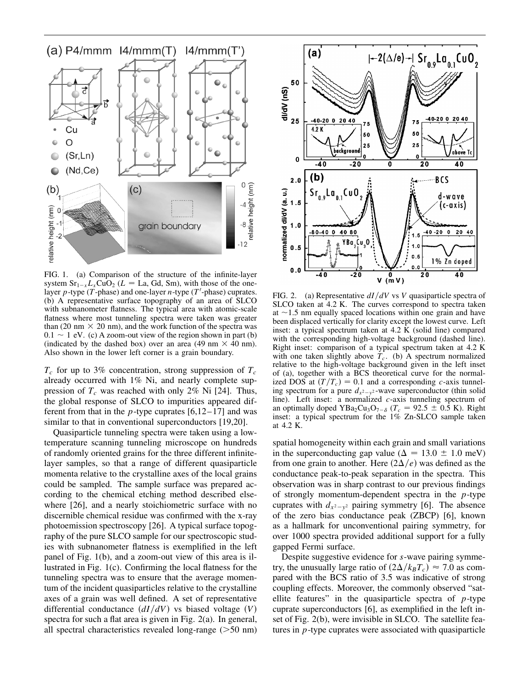

FIG. 1. (a) Comparison of the structure of the infinite-layer system  $Sr_{1-x}L_xCuO_2$  ( $L = La$ , Gd, Sm), with those of the onelayer  $p$ -type ( $\hat{T}$ -phase) and one-layer  $n$ -type ( $T'$ -phase) cuprates. (b) A representative surface topography of an area of SLCO with subnanometer flatness. The typical area with atomic-scale flatness where most tunneling spectra were taken was greater than (20 nm  $\times$  20 nm), and the work function of the spectra was  $0.1 \sim 1$  eV. (c) A zoom-out view of the region shown in part (b) (indicated by the dashed box) over an area (49 nm  $\times$  40 nm). Also shown in the lower left corner is a grain boundary.

 $T_c$  for up to 3% concentration, strong suppression of  $T_c$ already occurred with 1% Ni, and nearly complete suppression of  $T_c$  was reached with only 2% Ni [24]. Thus, the global response of SLCO to impurities appeared different from that in the  $p$ -type cuprates  $[6,12-17]$  and was similar to that in conventional superconductors [19,20].

Quasiparticle tunneling spectra were taken using a lowtemperature scanning tunneling microscope on hundreds of randomly oriented grains for the three different infinitelayer samples, so that a range of different quasiparticle momenta relative to the crystalline axes of the local grains could be sampled. The sample surface was prepared according to the chemical etching method described elsewhere [26], and a nearly stoichiometric surface with no discernible chemical residue was confirmed with the x-ray photoemission spectroscopy [26]. A typical surface topography of the pure SLCO sample for our spectroscopic studies with subnanometer flatness is exemplified in the left panel of Fig. 1(b), and a zoom-out view of this area is illustrated in Fig. 1(c). Confirming the local flatness for the tunneling spectra was to ensure that the average momentum of the incident quasiparticles relative to the crystalline axes of a grain was well defined. A set of representative differential conductance  $\left(\frac{dI}{dV}\right)$  vs biased voltage  $(V)$ spectra for such a flat area is given in Fig. 2(a). In general, all spectral characteristics revealed long-range  $($ >50 nm)



FIG. 2. (a) Representative *dIdV* vs *V* quasiparticle spectra of SLCO taken at 4.2 K. The curves correspond to spectra taken at  $\sim$ 1.5 nm equally spaced locations within one grain and have been displaced vertically for clarity except the lowest curve. Left inset: a typical spectrum taken at  $4.2 \text{ K}$  (solid line) compared with the corresponding high-voltage background (dashed line). Right inset: comparison of a typical spectrum taken at 4.2 K with one taken slightly above  $\overline{T_c}$ . (b) A spectrum normalized relative to the high-voltage background given in the left inset of (a), together with a BCS theoretical curve for the normalized DOS at  $(T/T_c) = 0.1$  and a corresponding *c*-axis tunneling spectrum for a pure  $d_{x^2-y^2}$ -wave superconductor (thin solid line). Left inset: a normalized *c*-axis tunneling spectrum of an optimally doped YBa<sub>2</sub>Cu<sub>3</sub>O<sub>7- $\delta$ </sub> ( $T_c$  = 92.5  $\pm$  0.5 K). Right inset: a typical spectrum for the 1% Zn-SLCO sample taken at 4.2 K.

spatial homogeneity within each grain and small variations in the superconducting gap value ( $\Delta = 13.0 \pm 1.0$  meV) from one grain to another. Here  $(2\Delta/e)$  was defined as the conductance peak-to-peak separation in the spectra. This observation was in sharp contrast to our previous findings of strongly momentum-dependent spectra in the *p*-type cuprates with  $d_{x^2-y^2}$  pairing symmetry [6]. The absence of the zero bias conductance peak (ZBCP) [6], known as a hallmark for unconventional pairing symmetry, for over 1000 spectra provided additional support for a fully gapped Fermi surface.

Despite suggestive evidence for *s*-wave pairing symmetry, the unusually large ratio of  $(2\Delta/k_B T_c) \approx 7.0$  as compared with the BCS ratio of 3.5 was indicative of strong coupling effects. Moreover, the commonly observed "satellite features" in the quasiparticle spectra of *p*-type cuprate superconductors [6], as exemplified in the left inset of Fig. 2(b), were invisible in SLCO. The satellite features in *p*-type cuprates were associated with quasiparticle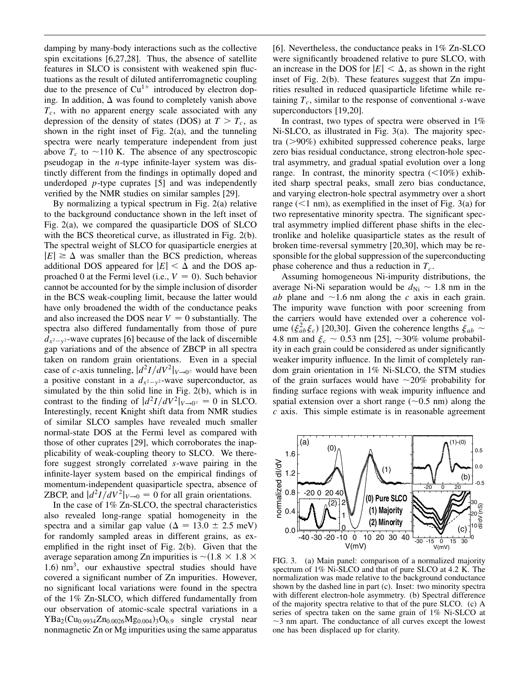damping by many-body interactions such as the collective spin excitations [6,27,28]. Thus, the absence of satellite features in SLCO is consistent with weakened spin fluctuations as the result of diluted antiferromagnetic coupling due to the presence of  $Cu^{1+}$  introduced by electron doping. In addition,  $\Delta$  was found to completely vanish above *Tc*, with no apparent energy scale associated with any depression of the density of states (DOS) at  $T > T_c$ , as shown in the right inset of Fig. 2(a), and the tunneling spectra were nearly temperature independent from just above  $T_c$  to  $\sim$ 110 K. The absence of any spectroscopic pseudogap in the *n*-type infinite-layer system was distinctly different from the findings in optimally doped and underdoped *p*-type cuprates [5] and was independently verified by the NMR studies on similar samples [29].

By normalizing a typical spectrum in Fig. 2(a) relative to the background conductance shown in the left inset of Fig. 2(a), we compared the quasiparticle DOS of SLCO with the BCS theoretical curve, as illustrated in Fig. 2(b). The spectral weight of SLCO for quasiparticle energies at  $|E| \geq \Delta$  was smaller than the BCS prediction, whereas additional DOS appeared for  $|E| < \Delta$  and the DOS approached 0 at the Fermi level (i.e.,  $V = 0$ ). Such behavior cannot be accounted for by the simple inclusion of disorder in the BCS weak-coupling limit, because the latter would have only broadened the width of the conductance peaks and also increased the DOS near  $V = 0$  substantially. The spectra also differed fundamentally from those of pure  $d_{x^2-y^2}$ -wave cuprates [6] because of the lack of discernible gap variations and of the absence of ZBCP in all spectra taken on random grain orientations. Even in a special case of *c*-axis tunneling,  $\frac{d^2I}{dV^2}|_{V\rightarrow 0^{\pm}}$  would have been a positive constant in a  $d_{x^2-y^2}$ -wave superconductor, as simulated by the thin solid line in Fig. 2(b), which is in contrast to the finding of  $\frac{d^2I}{dV^2}|_{V\to 0^{\pm}} = 0$  in SLCO. Interestingly, recent Knight shift data from NMR studies of similar SLCO samples have revealed much smaller normal-state DOS at the Fermi level as compared with those of other cuprates [29], which corroborates the inapplicability of weak-coupling theory to SLCO. We therefore suggest strongly correlated *s*-wave pairing in the infinite-layer system based on the empirical findings of momentum-independent quasiparticle spectra, absence of ZBCP, and  $\frac{d^2I}{dV^2}|_{V\to 0} = 0$  for all grain orientations.

In the case of 1% Zn-SLCO, the spectral characteristics also revealed long-range spatial homogeneity in the spectra and a similar gap value ( $\Delta = 13.0 \pm 2.5$  meV) for randomly sampled areas in different grains, as exemplified in the right inset of Fig. 2(b). Given that the average separation among Zn impurities is  $\sim$  (1.8  $\times$  1.8  $\times$  $1.6$ ) nm<sup>3</sup>, our exhaustive spectral studies should have covered a significant number of Zn impurities. However, no significant local variations were found in the spectra of the 1% Zn-SLCO, which differed fundamentally from our observation of atomic-scale spectral variations in a  $YBa_2(Cu_{0.9934}Zn_{0.0026}Mg_{0.004})_3O_{6.9}$  single crystal near nonmagnetic Zn or Mg impurities using the same apparatus [6]. Nevertheless, the conductance peaks in 1% Zn-SLCO were significantly broadened relative to pure SLCO, with an increase in the DOS for  $|E| < \Delta$ , as shown in the right inset of Fig. 2(b). These features suggest that Zn impurities resulted in reduced quasiparticle lifetime while retaining  $T_c$ , similar to the response of conventional  $s$ -wave superconductors [19,20].

In contrast, two types of spectra were observed in 1% Ni-SLCO, as illustrated in Fig. 3(a). The majority spectra  $(>90\%)$  exhibited suppressed coherence peaks, large zero bias residual conductance, strong electron-hole spectral asymmetry, and gradual spatial evolution over a long range. In contrast, the minority spectra  $(<10\%)$  exhibited sharp spectral peaks, small zero bias conductance, and varying electron-hole spectral asymmetry over a short range  $(<1$  nm), as exemplified in the inset of Fig. 3(a) for two representative minority spectra. The significant spectral asymmetry implied different phase shifts in the electronlike and holelike quasiparticle states as the result of broken time-reversal symmetry [20,30], which may be responsible for the global suppression of the superconducting phase coherence and thus a reduction in  $T_c$ .

Assuming homogeneous Ni-impurity distributions, the average Ni-Ni separation would be  $d_{\text{Ni}} \sim 1.8$  nm in the *ab* plane and  $\sim$ 1.6 nm along the *c* axis in each grain. The impurity wave function with poor screening from the carriers would have extended over a coherence volume  $(\xi_{ab}^2 \xi_c)$  [20,30]. Given the coherence lengths  $\xi_{ab} \sim$ 4.8 nm and  $\xi_c \sim 0.53$  nm [25],  $\sim 30\%$  volume probability in each grain could be considered as under significantly weaker impurity influence. In the limit of completely random grain orientation in 1% Ni-SLCO, the STM studies of the grain surfaces would have  $\sim$ 20% probability for finding surface regions with weak impurity influence and spatial extension over a short range  $(\sim 0.5$  nm) along the *c* axis. This simple estimate is in reasonable agreement



FIG. 3. (a) Main panel: comparison of a normalized majority spectrum of 1% Ni-SLCO and that of pure SLCO at 4.2 K. The normalization was made relative to the background conductance shown by the dashed line in part (c). Inset: two minority spectra with different electron-hole asymmetry. (b) Spectral difference of the majority spectra relative to that of the pure SLCO. (c) A series of spectra taken on the same grain of 1% Ni-SLCO at  $\sim$ 3 nm apart. The conductance of all curves except the lowest one has been displaced up for clarity.